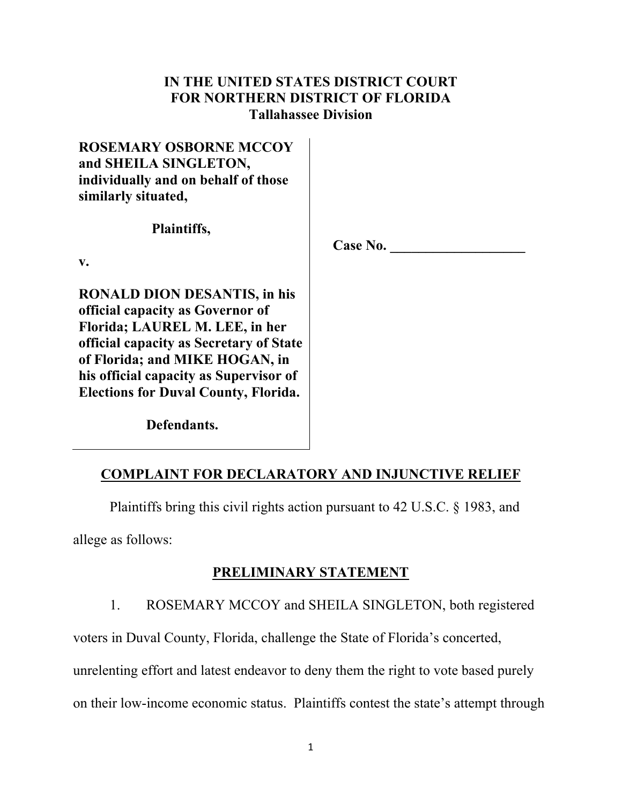# **IN THE UNITED STATES DISTRICT COURT FOR NORTHERN DISTRICT OF FLORIDA Tallahassee Division**

# **ROSEMARY OSBORNE MCCOY and SHEILA SINGLETON, individually and on behalf of those similarly situated,**

 **Plaintiffs,** 

**Case No. \_\_\_\_\_\_\_\_\_\_\_\_\_\_\_\_\_\_\_**

**v.** 

**RONALD DION DESANTIS, in his official capacity as Governor of Florida; LAUREL M. LEE, in her official capacity as Secretary of State of Florida; and MIKE HOGAN, in his official capacity as Supervisor of Elections for Duval County, Florida.** 

 **Defendants.** 

# **COMPLAINT FOR DECLARATORY AND INJUNCTIVE RELIEF**

Plaintiffs bring this civil rights action pursuant to 42 U.S.C. § 1983, and

allege as follows:

# **PRELIMINARY STATEMENT**

1. ROSEMARY MCCOY and SHEILA SINGLETON, both registered

voters in Duval County, Florida, challenge the State of Florida's concerted,

unrelenting effort and latest endeavor to deny them the right to vote based purely

on their low-income economic status. Plaintiffs contest the state's attempt through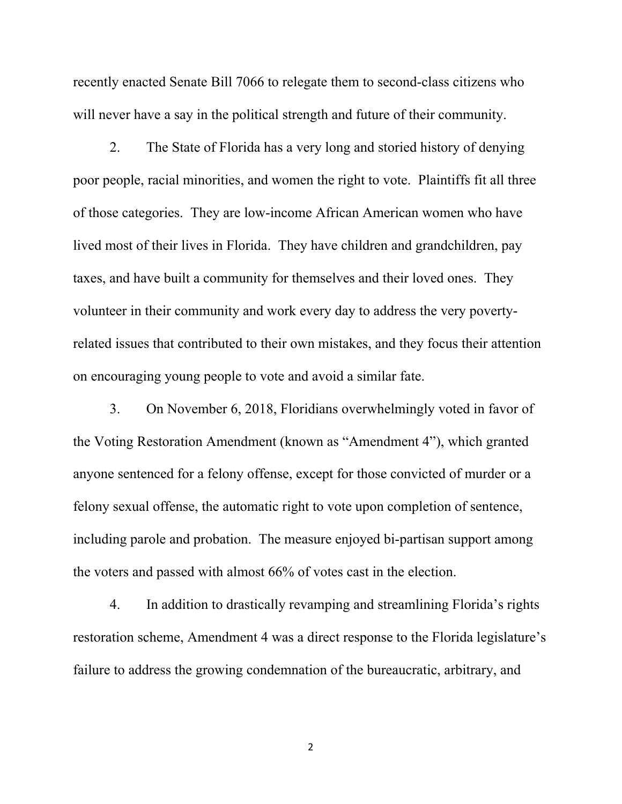recently enacted Senate Bill 7066 to relegate them to second-class citizens who will never have a say in the political strength and future of their community.

 2. The State of Florida has a very long and storied history of denying poor people, racial minorities, and women the right to vote. Plaintiffs fit all three of those categories. They are low-income African American women who have lived most of their lives in Florida. They have children and grandchildren, pay taxes, and have built a community for themselves and their loved ones. They volunteer in their community and work every day to address the very povertyrelated issues that contributed to their own mistakes, and they focus their attention on encouraging young people to vote and avoid a similar fate.

 3. On November 6, 2018, Floridians overwhelmingly voted in favor of the Voting Restoration Amendment (known as "Amendment 4"), which granted anyone sentenced for a felony offense, except for those convicted of murder or a felony sexual offense, the automatic right to vote upon completion of sentence, including parole and probation. The measure enjoyed bi-partisan support among the voters and passed with almost 66% of votes cast in the election.

 4. In addition to drastically revamping and streamlining Florida's rights restoration scheme, Amendment 4 was a direct response to the Florida legislature's failure to address the growing condemnation of the bureaucratic, arbitrary, and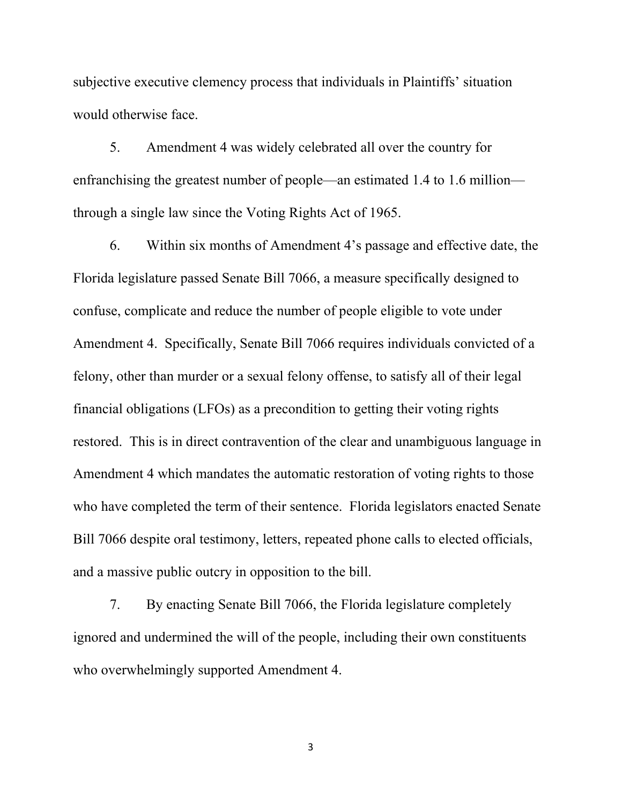subjective executive clemency process that individuals in Plaintiffs' situation would otherwise face.

 5. Amendment 4 was widely celebrated all over the country for enfranchising the greatest number of people—an estimated 1.4 to 1.6 million through a single law since the Voting Rights Act of 1965.

 6. Within six months of Amendment 4's passage and effective date, the Florida legislature passed Senate Bill 7066, a measure specifically designed to confuse, complicate and reduce the number of people eligible to vote under Amendment 4. Specifically, Senate Bill 7066 requires individuals convicted of a felony, other than murder or a sexual felony offense, to satisfy all of their legal financial obligations (LFOs) as a precondition to getting their voting rights restored. This is in direct contravention of the clear and unambiguous language in Amendment 4 which mandates the automatic restoration of voting rights to those who have completed the term of their sentence. Florida legislators enacted Senate Bill 7066 despite oral testimony, letters, repeated phone calls to elected officials, and a massive public outcry in opposition to the bill.

 7. By enacting Senate Bill 7066, the Florida legislature completely ignored and undermined the will of the people, including their own constituents who overwhelmingly supported Amendment 4.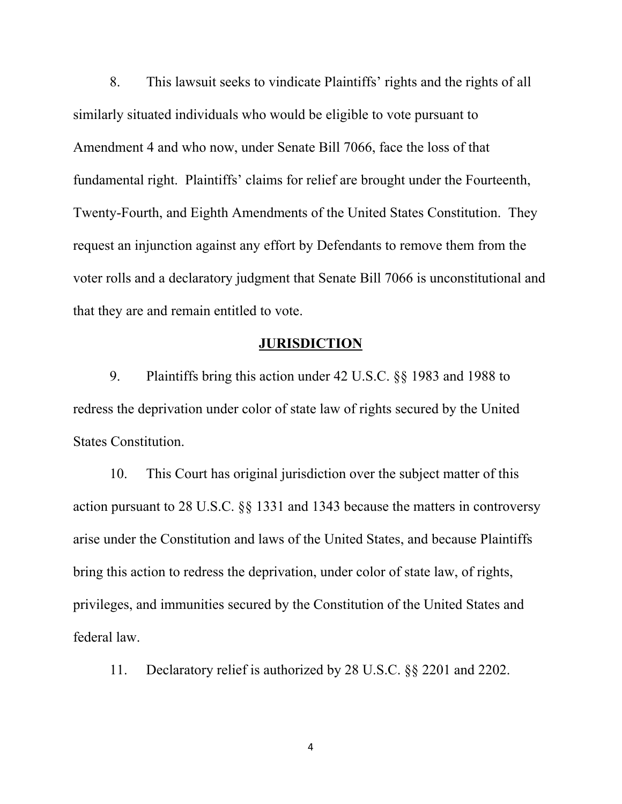8. This lawsuit seeks to vindicate Plaintiffs' rights and the rights of all similarly situated individuals who would be eligible to vote pursuant to Amendment 4 and who now, under Senate Bill 7066, face the loss of that fundamental right. Plaintiffs' claims for relief are brought under the Fourteenth, Twenty-Fourth, and Eighth Amendments of the United States Constitution. They request an injunction against any effort by Defendants to remove them from the voter rolls and a declaratory judgment that Senate Bill 7066 is unconstitutional and that they are and remain entitled to vote.

# **JURISDICTION**

 9. Plaintiffs bring this action under 42 U.S.C. §§ 1983 and 1988 to redress the deprivation under color of state law of rights secured by the United States Constitution.

 10. This Court has original jurisdiction over the subject matter of this action pursuant to 28 U.S.C. §§ 1331 and 1343 because the matters in controversy arise under the Constitution and laws of the United States, and because Plaintiffs bring this action to redress the deprivation, under color of state law, of rights, privileges, and immunities secured by the Constitution of the United States and federal law.

11. Declaratory relief is authorized by 28 U.S.C. §§ 2201 and 2202.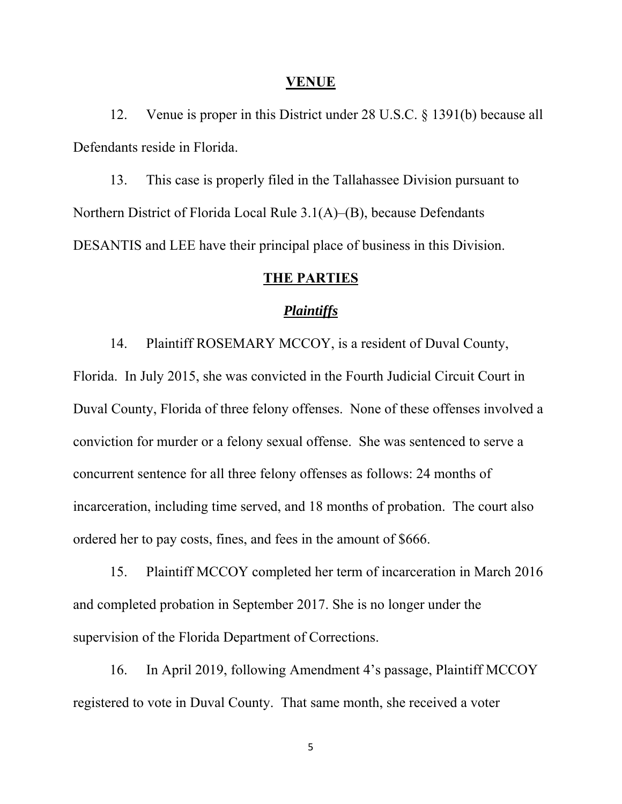#### **VENUE**

 12. Venue is proper in this District under 28 U.S.C. § 1391(b) because all Defendants reside in Florida.

 13. This case is properly filed in the Tallahassee Division pursuant to Northern District of Florida Local Rule 3.1(A)–(B), because Defendants DESANTIS and LEE have their principal place of business in this Division.

### **THE PARTIES**

### *Plaintiffs*

 14. Plaintiff ROSEMARY MCCOY, is a resident of Duval County, Florida. In July 2015, she was convicted in the Fourth Judicial Circuit Court in Duval County, Florida of three felony offenses. None of these offenses involved a conviction for murder or a felony sexual offense. She was sentenced to serve a concurrent sentence for all three felony offenses as follows: 24 months of incarceration, including time served, and 18 months of probation. The court also ordered her to pay costs, fines, and fees in the amount of \$666.

 15. Plaintiff MCCOY completed her term of incarceration in March 2016 and completed probation in September 2017. She is no longer under the supervision of the Florida Department of Corrections.

 16. In April 2019, following Amendment 4's passage, Plaintiff MCCOY registered to vote in Duval County. That same month, she received a voter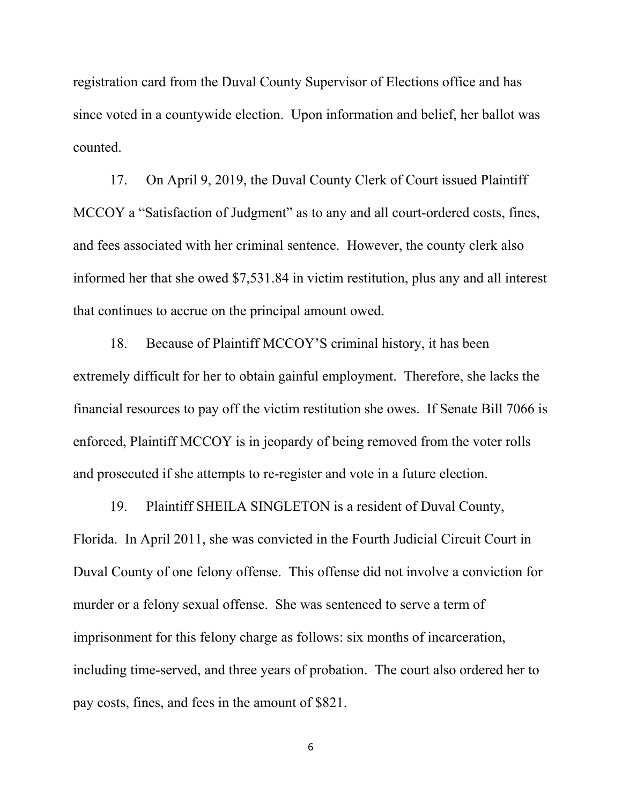registration card from the Duval County Supervisor of Elections office and has since voted in a countywide election. Upon information and belief, her ballot was counted.

 17. On April 9, 2019, the Duval County Clerk of Court issued Plaintiff MCCOY a "Satisfaction of Judgment" as to any and all court-ordered costs, fines, and fees associated with her criminal sentence. However, the county clerk also informed her that she owed \$7,531.84 in victim restitution, plus any and all interest that continues to accrue on the principal amount owed.

 18. Because of Plaintiff MCCOY'S criminal history, it has been extremely difficult for her to obtain gainful employment. Therefore, she lacks the financial resources to pay off the victim restitution she owes. If Senate Bill 7066 is enforced, Plaintiff MCCOY is in jeopardy of being removed from the voter rolls and prosecuted if she attempts to re-register and vote in a future election.

 19. Plaintiff SHEILA SINGLETON is a resident of Duval County, Florida. In April 2011, she was convicted in the Fourth Judicial Circuit Court in Duval County of one felony offense. This offense did not involve a conviction for murder or a felony sexual offense. She was sentenced to serve a term of imprisonment for this felony charge as follows: six months of incarceration, including time-served, and three years of probation. The court also ordered her to pay costs, fines, and fees in the amount of \$821.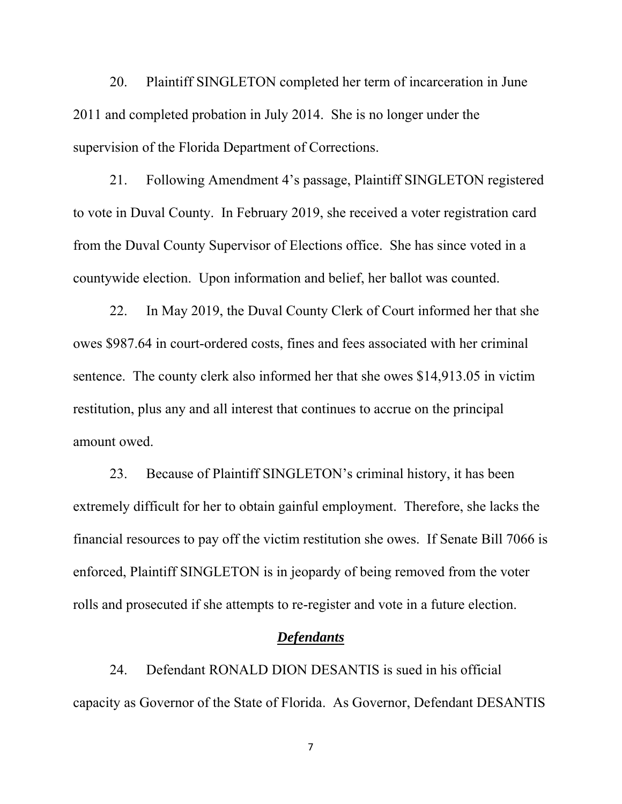20. Plaintiff SINGLETON completed her term of incarceration in June 2011 and completed probation in July 2014. She is no longer under the supervision of the Florida Department of Corrections.

 21. Following Amendment 4's passage, Plaintiff SINGLETON registered to vote in Duval County. In February 2019, she received a voter registration card from the Duval County Supervisor of Elections office. She has since voted in a countywide election. Upon information and belief, her ballot was counted.

 22. In May 2019, the Duval County Clerk of Court informed her that she owes \$987.64 in court-ordered costs, fines and fees associated with her criminal sentence. The county clerk also informed her that she owes \$14,913.05 in victim restitution, plus any and all interest that continues to accrue on the principal amount owed.

 23. Because of Plaintiff SINGLETON's criminal history, it has been extremely difficult for her to obtain gainful employment. Therefore, she lacks the financial resources to pay off the victim restitution she owes. If Senate Bill 7066 is enforced, Plaintiff SINGLETON is in jeopardy of being removed from the voter rolls and prosecuted if she attempts to re-register and vote in a future election.

#### *Defendants*

 24. Defendant RONALD DION DESANTIS is sued in his official capacity as Governor of the State of Florida. As Governor, Defendant DESANTIS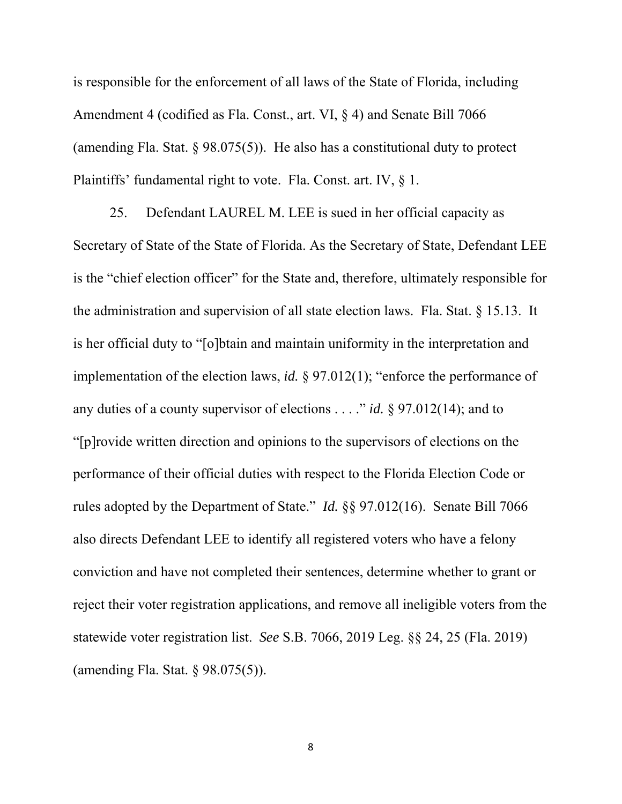is responsible for the enforcement of all laws of the State of Florida, including Amendment 4 (codified as Fla. Const., art. VI, § 4) and Senate Bill 7066 (amending Fla. Stat. § 98.075(5)). He also has a constitutional duty to protect Plaintiffs' fundamental right to vote. Fla. Const. art. IV, § 1.

 25. Defendant LAUREL M. LEE is sued in her official capacity as Secretary of State of the State of Florida. As the Secretary of State, Defendant LEE is the "chief election officer" for the State and, therefore, ultimately responsible for the administration and supervision of all state election laws. Fla. Stat. § 15.13. It is her official duty to "[o]btain and maintain uniformity in the interpretation and implementation of the election laws, *id.* § 97.012(1); "enforce the performance of any duties of a county supervisor of elections . . . ." *id.* § 97.012(14); and to "[p]rovide written direction and opinions to the supervisors of elections on the performance of their official duties with respect to the Florida Election Code or rules adopted by the Department of State." *Id.* §§ 97.012(16). Senate Bill 7066 also directs Defendant LEE to identify all registered voters who have a felony conviction and have not completed their sentences, determine whether to grant or reject their voter registration applications, and remove all ineligible voters from the statewide voter registration list. *See* S.B. 7066, 2019 Leg. §§ 24, 25 (Fla. 2019) (amending Fla. Stat. § 98.075(5)).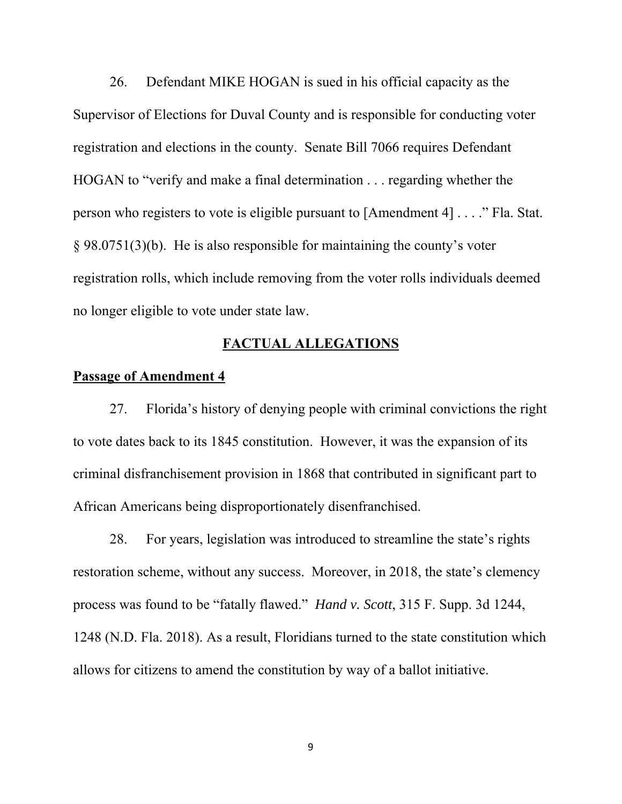26. Defendant MIKE HOGAN is sued in his official capacity as the Supervisor of Elections for Duval County and is responsible for conducting voter registration and elections in the county. Senate Bill 7066 requires Defendant HOGAN to "verify and make a final determination . . . regarding whether the person who registers to vote is eligible pursuant to [Amendment 4] . . . ." Fla. Stat. § 98.0751(3)(b). He is also responsible for maintaining the county's voter registration rolls, which include removing from the voter rolls individuals deemed no longer eligible to vote under state law.

# **FACTUAL ALLEGATIONS**

## **Passage of Amendment 4**

 27. Florida's history of denying people with criminal convictions the right to vote dates back to its 1845 constitution. However, it was the expansion of its criminal disfranchisement provision in 1868 that contributed in significant part to African Americans being disproportionately disenfranchised.

 28. For years, legislation was introduced to streamline the state's rights restoration scheme, without any success. Moreover, in 2018, the state's clemency process was found to be "fatally flawed." *Hand v. Scott*, 315 F. Supp. 3d 1244, 1248 (N.D. Fla. 2018). As a result, Floridians turned to the state constitution which allows for citizens to amend the constitution by way of a ballot initiative.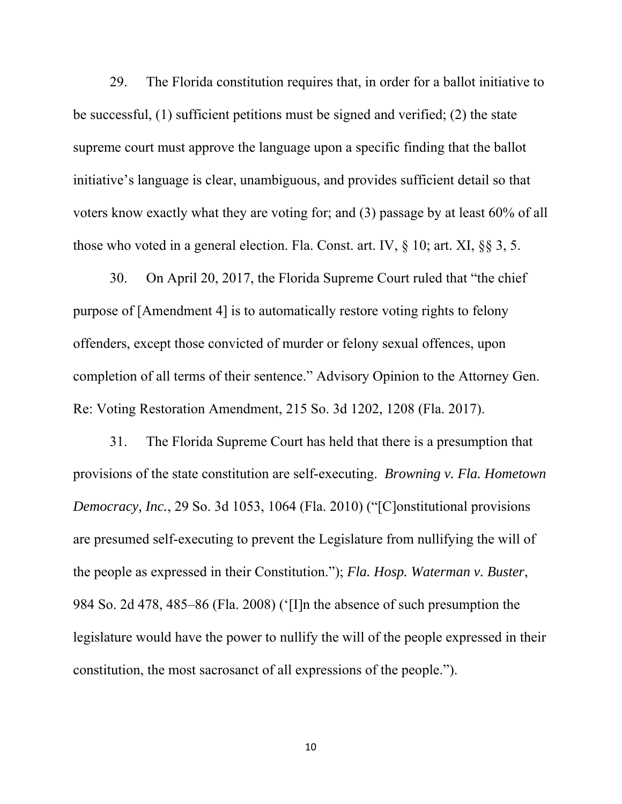29. The Florida constitution requires that, in order for a ballot initiative to be successful, (1) sufficient petitions must be signed and verified; (2) the state supreme court must approve the language upon a specific finding that the ballot initiative's language is clear, unambiguous, and provides sufficient detail so that voters know exactly what they are voting for; and (3) passage by at least 60% of all those who voted in a general election. Fla. Const. art. IV, § 10; art. XI, §§ 3, 5.

 30. On April 20, 2017, the Florida Supreme Court ruled that "the chief purpose of [Amendment 4] is to automatically restore voting rights to felony offenders, except those convicted of murder or felony sexual offences, upon completion of all terms of their sentence." Advisory Opinion to the Attorney Gen. Re: Voting Restoration Amendment, 215 So. 3d 1202, 1208 (Fla. 2017).

 31. The Florida Supreme Court has held that there is a presumption that provisions of the state constitution are self-executing. *Browning v. Fla. Hometown Democracy, Inc.*, 29 So. 3d 1053, 1064 (Fla. 2010) ("[C]onstitutional provisions are presumed self-executing to prevent the Legislature from nullifying the will of the people as expressed in their Constitution."); *Fla. Hosp. Waterman v. Buster*, 984 So. 2d 478, 485–86 (Fla. 2008) ('[I]n the absence of such presumption the legislature would have the power to nullify the will of the people expressed in their constitution, the most sacrosanct of all expressions of the people.").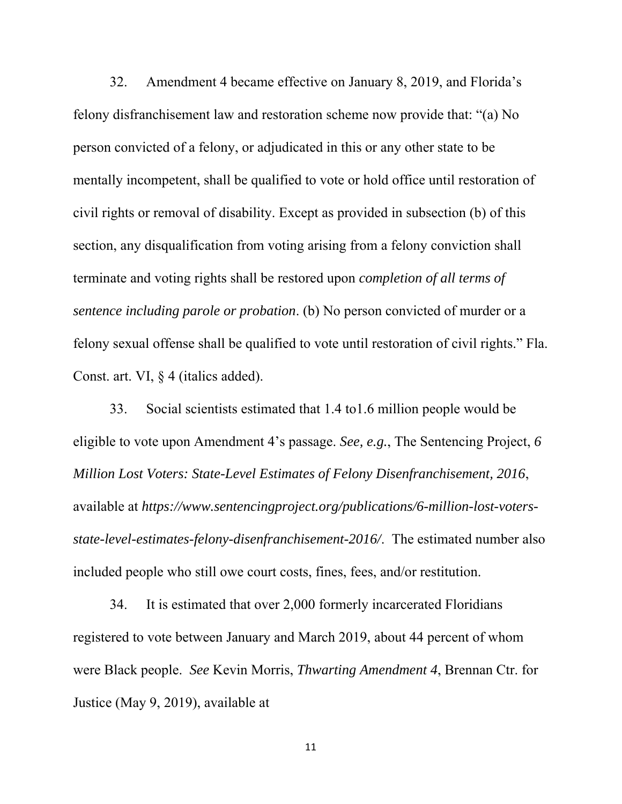32. Amendment 4 became effective on January 8, 2019, and Florida's felony disfranchisement law and restoration scheme now provide that: "(a) No person convicted of a felony, or adjudicated in this or any other state to be mentally incompetent, shall be qualified to vote or hold office until restoration of civil rights or removal of disability. Except as provided in subsection (b) of this section, any disqualification from voting arising from a felony conviction shall terminate and voting rights shall be restored upon *completion of all terms of sentence including parole or probation*. (b) No person convicted of murder or a felony sexual offense shall be qualified to vote until restoration of civil rights." Fla. Const. art. VI, § 4 (italics added).

 33. Social scientists estimated that 1.4 to1.6 million people would be eligible to vote upon Amendment 4's passage. *See, e.g.*, The Sentencing Project, *6 Million Lost Voters: State-Level Estimates of Felony Disenfranchisement, 2016*, available at *https://www.sentencingproject.org/publications/6-million-lost-votersstate-level-estimates-felony-disenfranchisement-2016/*. The estimated number also included people who still owe court costs, fines, fees, and/or restitution.

 34. It is estimated that over 2,000 formerly incarcerated Floridians registered to vote between January and March 2019, about 44 percent of whom were Black people. *See* Kevin Morris, *Thwarting Amendment 4*, Brennan Ctr. for Justice (May 9, 2019), available at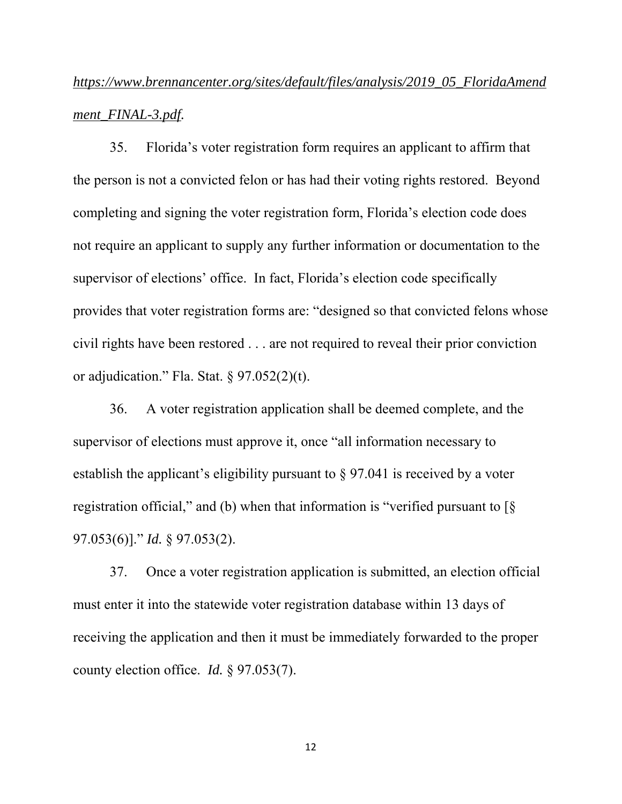# *https://www.brennancenter.org/sites/default/files/analysis/2019\_05\_FloridaAmend ment\_FINAL-3.pdf.*

 35. Florida's voter registration form requires an applicant to affirm that the person is not a convicted felon or has had their voting rights restored. Beyond completing and signing the voter registration form, Florida's election code does not require an applicant to supply any further information or documentation to the supervisor of elections' office. In fact, Florida's election code specifically provides that voter registration forms are: "designed so that convicted felons whose civil rights have been restored . . . are not required to reveal their prior conviction or adjudication." Fla. Stat. § 97.052(2)(t).

 36. A voter registration application shall be deemed complete, and the supervisor of elections must approve it, once "all information necessary to establish the applicant's eligibility pursuant to § 97.041 is received by a voter registration official," and (b) when that information is "verified pursuant to  $\lceil \S \rceil$ 97.053(6)]." *Id.* § 97.053(2).

 37. Once a voter registration application is submitted, an election official must enter it into the statewide voter registration database within 13 days of receiving the application and then it must be immediately forwarded to the proper county election office. *Id.* § 97.053(7).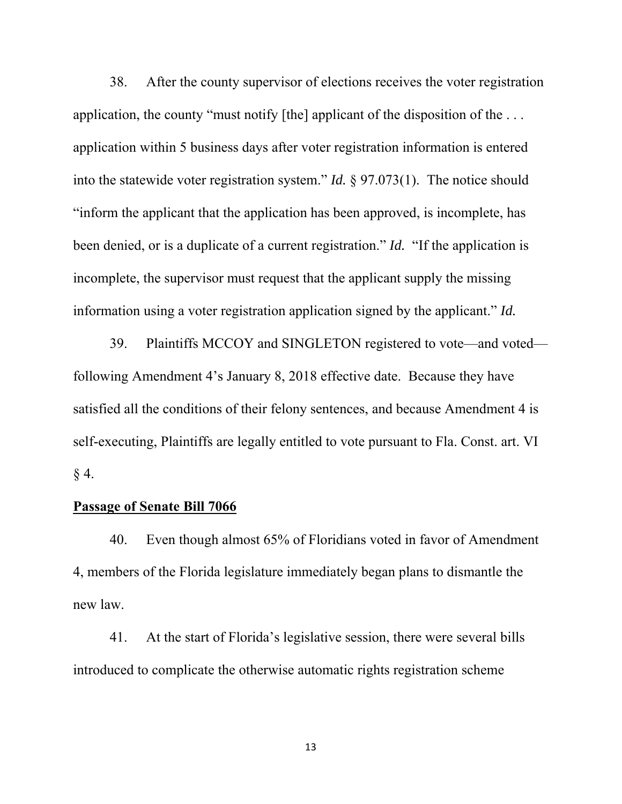38. After the county supervisor of elections receives the voter registration application, the county "must notify [the] applicant of the disposition of the  $\dots$ application within 5 business days after voter registration information is entered into the statewide voter registration system." *Id.* § 97.073(1). The notice should "inform the applicant that the application has been approved, is incomplete, has been denied, or is a duplicate of a current registration." *Id.* "If the application is incomplete, the supervisor must request that the applicant supply the missing information using a voter registration application signed by the applicant." *Id.*

 39. Plaintiffs MCCOY and SINGLETON registered to vote—and voted following Amendment 4's January 8, 2018 effective date. Because they have satisfied all the conditions of their felony sentences, and because Amendment 4 is self-executing, Plaintiffs are legally entitled to vote pursuant to Fla. Const. art. VI  $§$  4.

### **Passage of Senate Bill 7066**

 40. Even though almost 65% of Floridians voted in favor of Amendment 4, members of the Florida legislature immediately began plans to dismantle the new law.

 41. At the start of Florida's legislative session, there were several bills introduced to complicate the otherwise automatic rights registration scheme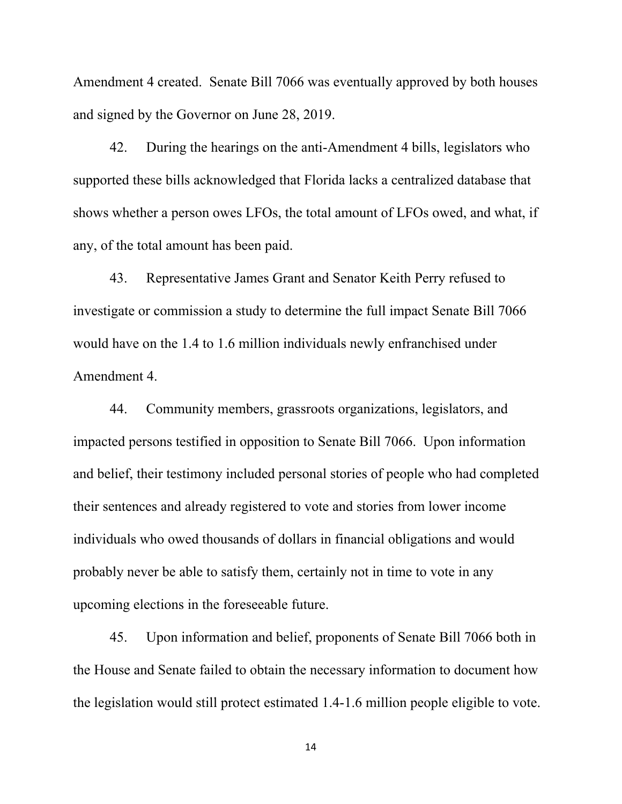Amendment 4 created. Senate Bill 7066 was eventually approved by both houses and signed by the Governor on June 28, 2019.

 42. During the hearings on the anti-Amendment 4 bills, legislators who supported these bills acknowledged that Florida lacks a centralized database that shows whether a person owes LFOs, the total amount of LFOs owed, and what, if any, of the total amount has been paid.

 43. Representative James Grant and Senator Keith Perry refused to investigate or commission a study to determine the full impact Senate Bill 7066 would have on the 1.4 to 1.6 million individuals newly enfranchised under Amendment 4.

 44. Community members, grassroots organizations, legislators, and impacted persons testified in opposition to Senate Bill 7066. Upon information and belief, their testimony included personal stories of people who had completed their sentences and already registered to vote and stories from lower income individuals who owed thousands of dollars in financial obligations and would probably never be able to satisfy them, certainly not in time to vote in any upcoming elections in the foreseeable future.

 45. Upon information and belief, proponents of Senate Bill 7066 both in the House and Senate failed to obtain the necessary information to document how the legislation would still protect estimated 1.4-1.6 million people eligible to vote.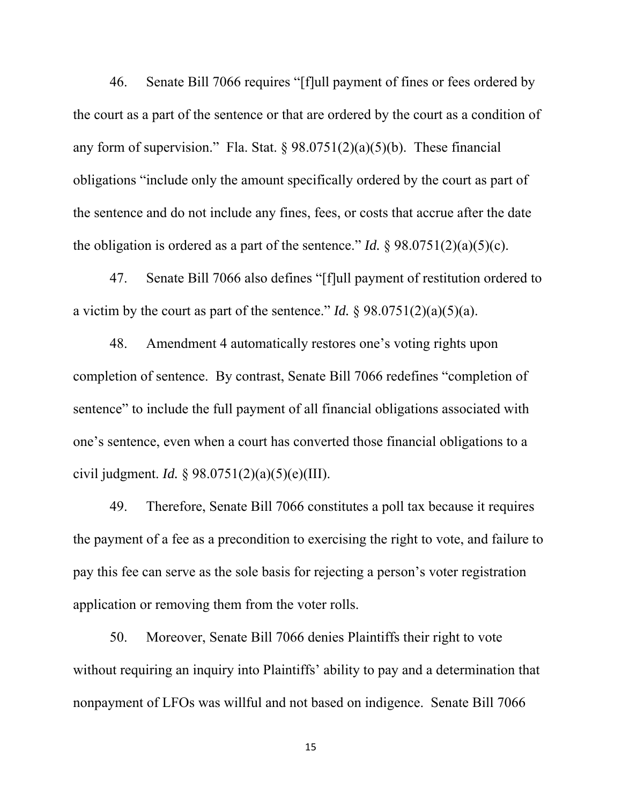46. Senate Bill 7066 requires "[f]ull payment of fines or fees ordered by the court as a part of the sentence or that are ordered by the court as a condition of any form of supervision." Fla. Stat.  $\S 98.0751(2)(a)(5)(b)$ . These financial obligations "include only the amount specifically ordered by the court as part of the sentence and do not include any fines, fees, or costs that accrue after the date the obligation is ordered as a part of the sentence." *Id.*  $\frac{8}{98.0751(2)(a)(5)(c)}$ .

 47. Senate Bill 7066 also defines "[f]ull payment of restitution ordered to a victim by the court as part of the sentence." *Id.*  $\S 98.0751(2)(a)(5)(a)$ .

 48. Amendment 4 automatically restores one's voting rights upon completion of sentence. By contrast, Senate Bill 7066 redefines "completion of sentence" to include the full payment of all financial obligations associated with one's sentence, even when a court has converted those financial obligations to a civil judgment. *Id.* § 98.0751(2)(a)(5)(e)(III).

 49. Therefore, Senate Bill 7066 constitutes a poll tax because it requires the payment of a fee as a precondition to exercising the right to vote, and failure to pay this fee can serve as the sole basis for rejecting a person's voter registration application or removing them from the voter rolls.

 50. Moreover, Senate Bill 7066 denies Plaintiffs their right to vote without requiring an inquiry into Plaintiffs' ability to pay and a determination that nonpayment of LFOs was willful and not based on indigence. Senate Bill 7066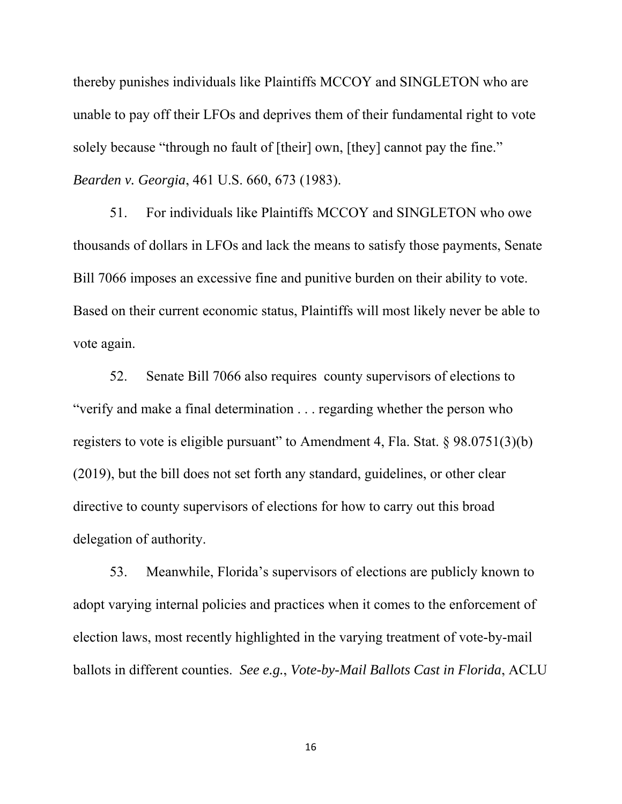thereby punishes individuals like Plaintiffs MCCOY and SINGLETON who are unable to pay off their LFOs and deprives them of their fundamental right to vote solely because "through no fault of [their] own, [they] cannot pay the fine." *Bearden v. Georgia*, 461 U.S. 660, 673 (1983).

 51. For individuals like Plaintiffs MCCOY and SINGLETON who owe thousands of dollars in LFOs and lack the means to satisfy those payments, Senate Bill 7066 imposes an excessive fine and punitive burden on their ability to vote. Based on their current economic status, Plaintiffs will most likely never be able to vote again.

 52. Senate Bill 7066 also requires county supervisors of elections to "verify and make a final determination . . . regarding whether the person who registers to vote is eligible pursuant" to Amendment 4, Fla. Stat. § 98.0751(3)(b) (2019), but the bill does not set forth any standard, guidelines, or other clear directive to county supervisors of elections for how to carry out this broad delegation of authority.

 53. Meanwhile, Florida's supervisors of elections are publicly known to adopt varying internal policies and practices when it comes to the enforcement of election laws, most recently highlighted in the varying treatment of vote-by-mail ballots in different counties. *See e.g.*, *Vote-by-Mail Ballots Cast in Florida*, ACLU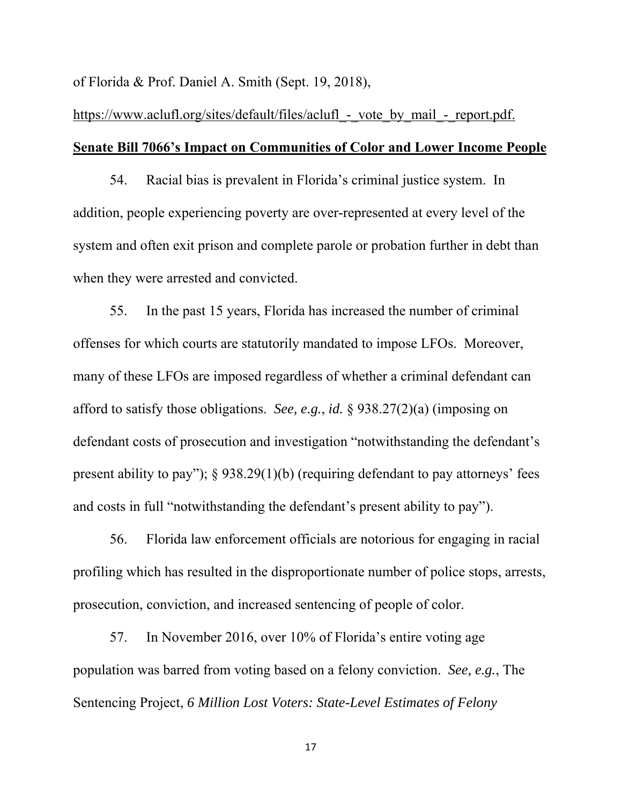of Florida & Prof. Daniel A. Smith (Sept. 19, 2018),

# https://www.aclufl.org/sites/default/files/aclufl - vote by mail - report.pdf. **Senate Bill 7066's Impact on Communities of Color and Lower Income People**

 54. Racial bias is prevalent in Florida's criminal justice system. In addition, people experiencing poverty are over-represented at every level of the system and often exit prison and complete parole or probation further in debt than when they were arrested and convicted.

 55. In the past 15 years, Florida has increased the number of criminal offenses for which courts are statutorily mandated to impose LFOs. Moreover, many of these LFOs are imposed regardless of whether a criminal defendant can afford to satisfy those obligations. *See, e.g.*, *id.* § 938.27(2)(a) (imposing on defendant costs of prosecution and investigation "notwithstanding the defendant's present ability to pay"); § 938.29(1)(b) (requiring defendant to pay attorneys' fees and costs in full "notwithstanding the defendant's present ability to pay").

 56. Florida law enforcement officials are notorious for engaging in racial profiling which has resulted in the disproportionate number of police stops, arrests, prosecution, conviction, and increased sentencing of people of color.

 57. In November 2016, over 10% of Florida's entire voting age population was barred from voting based on a felony conviction. *See, e.g.*, The Sentencing Project, *6 Million Lost Voters: State-Level Estimates of Felony*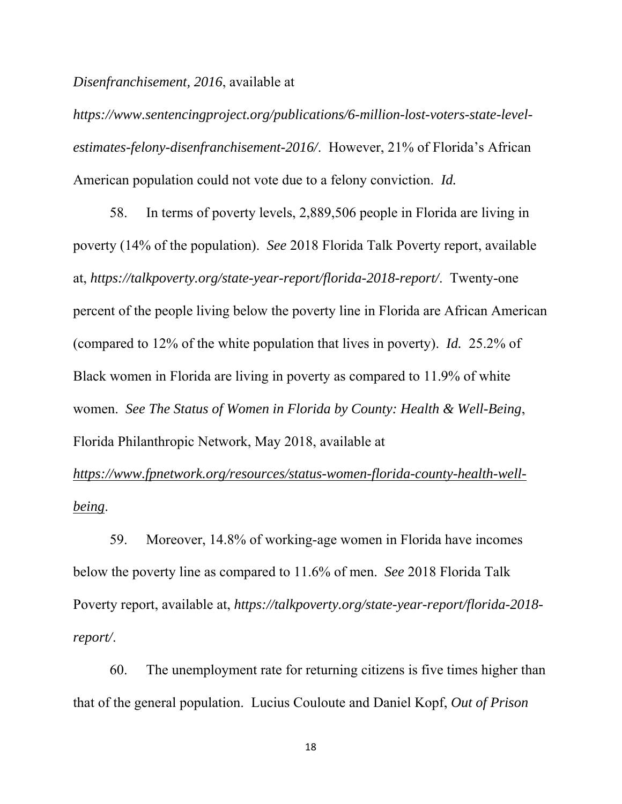*Disenfranchisement, 2016*, available at

*https://www.sentencingproject.org/publications/6-million-lost-voters-state-levelestimates-felony-disenfranchisement-2016/*. However, 21% of Florida's African American population could not vote due to a felony conviction. *Id.*

 58. In terms of poverty levels, 2,889,506 people in Florida are living in poverty (14% of the population). *See* 2018 Florida Talk Poverty report, available at, *https://talkpoverty.org/state-year-report/florida-2018-report/*. Twenty-one percent of the people living below the poverty line in Florida are African American (compared to 12% of the white population that lives in poverty). *Id.* 25.2% of Black women in Florida are living in poverty as compared to 11.9% of white women. *See The Status of Women in Florida by County: Health & Well-Being*, Florida Philanthropic Network, May 2018, available at

*https://www.fpnetwork.org/resources/status-women-florida-county-health-wellbeing*.

 59. Moreover, 14.8% of working-age women in Florida have incomes below the poverty line as compared to 11.6% of men. *See* 2018 Florida Talk Poverty report, available at, *https://talkpoverty.org/state-year-report/florida-2018 report/*.

 60. The unemployment rate for returning citizens is five times higher than that of the general population. Lucius Couloute and Daniel Kopf, *Out of Prison*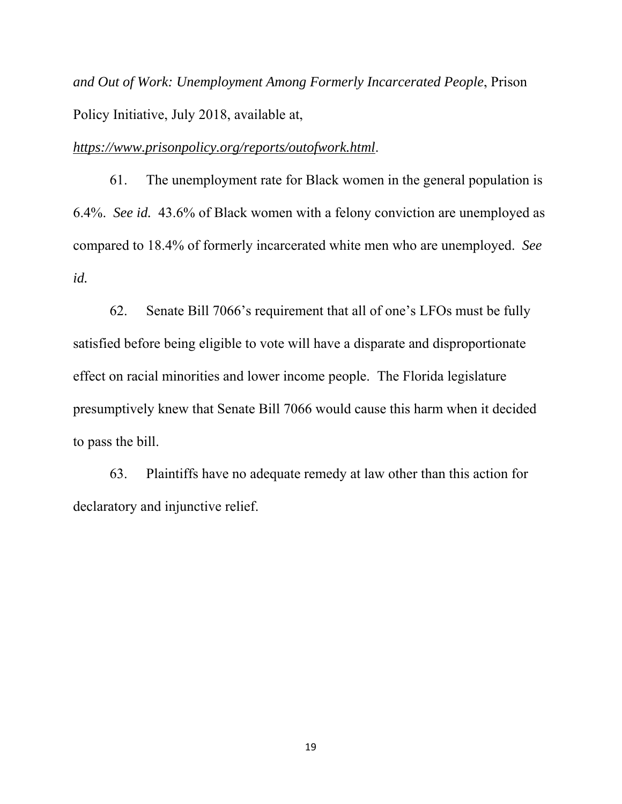*and Out of Work: Unemployment Among Formerly Incarcerated People*, Prison Policy Initiative, July 2018, available at,

*https://www.prisonpolicy.org/reports/outofwork.html*.

 61. The unemployment rate for Black women in the general population is 6.4%. *See id.* 43.6% of Black women with a felony conviction are unemployed as compared to 18.4% of formerly incarcerated white men who are unemployed. *See id.*

 62. Senate Bill 7066's requirement that all of one's LFOs must be fully satisfied before being eligible to vote will have a disparate and disproportionate effect on racial minorities and lower income people. The Florida legislature presumptively knew that Senate Bill 7066 would cause this harm when it decided to pass the bill.

 63. Plaintiffs have no adequate remedy at law other than this action for declaratory and injunctive relief.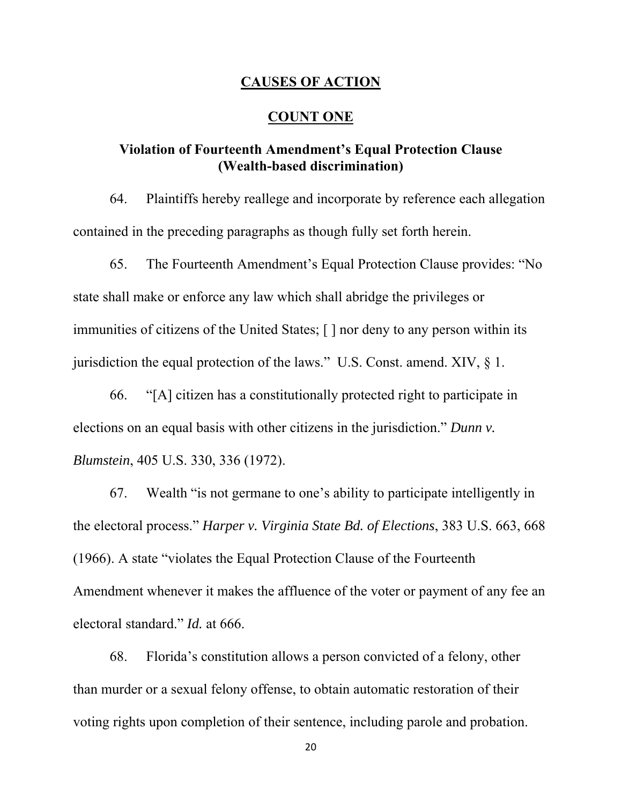### **CAUSES OF ACTION**

### **COUNT ONE**

## **Violation of Fourteenth Amendment's Equal Protection Clause (Wealth-based discrimination)**

 64. Plaintiffs hereby reallege and incorporate by reference each allegation contained in the preceding paragraphs as though fully set forth herein.

 65. The Fourteenth Amendment's Equal Protection Clause provides: "No state shall make or enforce any law which shall abridge the privileges or immunities of citizens of the United States; [ ] nor deny to any person within its jurisdiction the equal protection of the laws." U.S. Const. amend. XIV,  $\S$  1.

 66. "[A] citizen has a constitutionally protected right to participate in elections on an equal basis with other citizens in the jurisdiction." *Dunn v. Blumstein*, 405 U.S. 330, 336 (1972).

 67. Wealth "is not germane to one's ability to participate intelligently in the electoral process." *Harper v. Virginia State Bd. of Elections*, 383 U.S. 663, 668 (1966). A state "violates the Equal Protection Clause of the Fourteenth Amendment whenever it makes the affluence of the voter or payment of any fee an electoral standard." *Id.* at 666.

 68. Florida's constitution allows a person convicted of a felony, other than murder or a sexual felony offense, to obtain automatic restoration of their voting rights upon completion of their sentence, including parole and probation.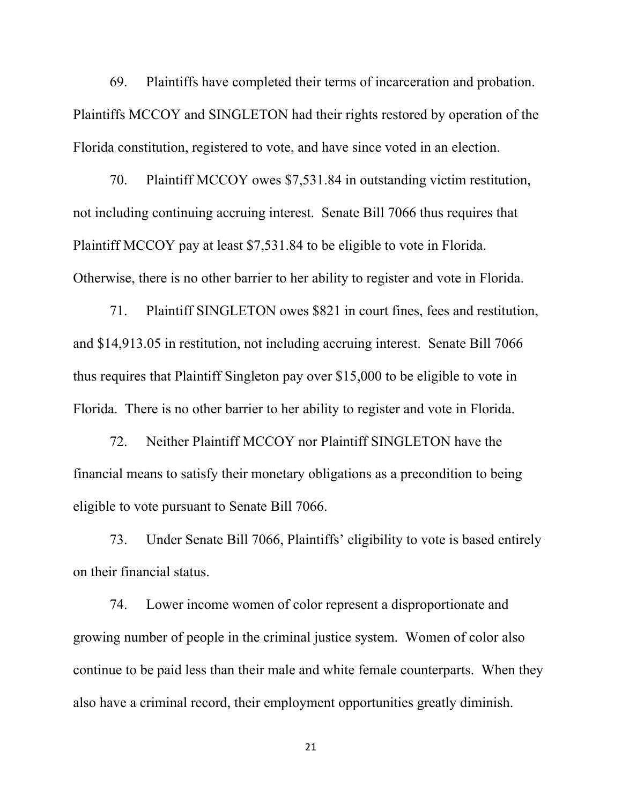69. Plaintiffs have completed their terms of incarceration and probation. Plaintiffs MCCOY and SINGLETON had their rights restored by operation of the Florida constitution, registered to vote, and have since voted in an election.

 70. Plaintiff MCCOY owes \$7,531.84 in outstanding victim restitution, not including continuing accruing interest. Senate Bill 7066 thus requires that Plaintiff MCCOY pay at least \$7,531.84 to be eligible to vote in Florida. Otherwise, there is no other barrier to her ability to register and vote in Florida.

 71. Plaintiff SINGLETON owes \$821 in court fines, fees and restitution, and \$14,913.05 in restitution, not including accruing interest. Senate Bill 7066 thus requires that Plaintiff Singleton pay over \$15,000 to be eligible to vote in Florida. There is no other barrier to her ability to register and vote in Florida.

 72. Neither Plaintiff MCCOY nor Plaintiff SINGLETON have the financial means to satisfy their monetary obligations as a precondition to being eligible to vote pursuant to Senate Bill 7066.

 73. Under Senate Bill 7066, Plaintiffs' eligibility to vote is based entirely on their financial status.

 74. Lower income women of color represent a disproportionate and growing number of people in the criminal justice system. Women of color also continue to be paid less than their male and white female counterparts. When they also have a criminal record, their employment opportunities greatly diminish.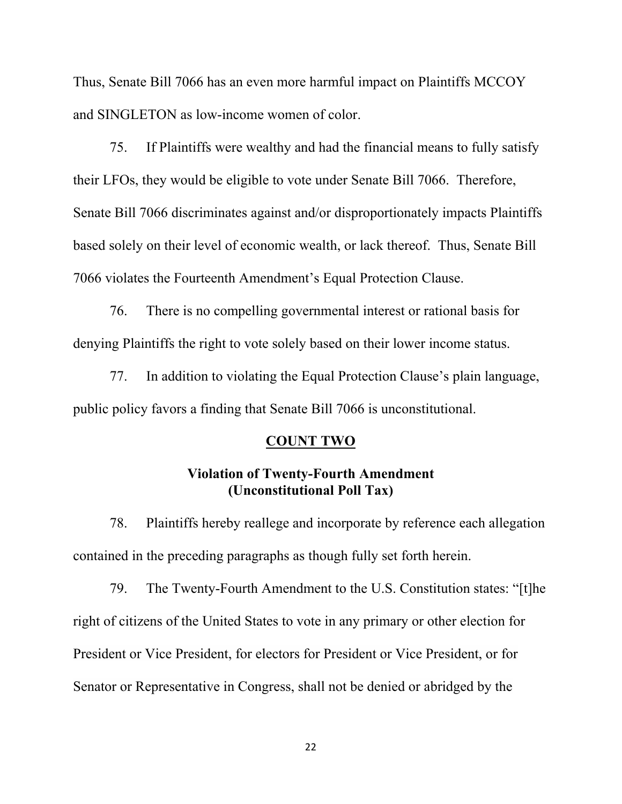Thus, Senate Bill 7066 has an even more harmful impact on Plaintiffs MCCOY and SINGLETON as low-income women of color.

 75. If Plaintiffs were wealthy and had the financial means to fully satisfy their LFOs, they would be eligible to vote under Senate Bill 7066. Therefore, Senate Bill 7066 discriminates against and/or disproportionately impacts Plaintiffs based solely on their level of economic wealth, or lack thereof. Thus, Senate Bill 7066 violates the Fourteenth Amendment's Equal Protection Clause.

 76. There is no compelling governmental interest or rational basis for denying Plaintiffs the right to vote solely based on their lower income status.

 77. In addition to violating the Equal Protection Clause's plain language, public policy favors a finding that Senate Bill 7066 is unconstitutional.

### **COUNT TWO**

## **Violation of Twenty-Fourth Amendment (Unconstitutional Poll Tax)**

 78. Plaintiffs hereby reallege and incorporate by reference each allegation contained in the preceding paragraphs as though fully set forth herein.

 79. The Twenty-Fourth Amendment to the U.S. Constitution states: "[t]he right of citizens of the United States to vote in any primary or other election for President or Vice President, for electors for President or Vice President, or for Senator or Representative in Congress, shall not be denied or abridged by the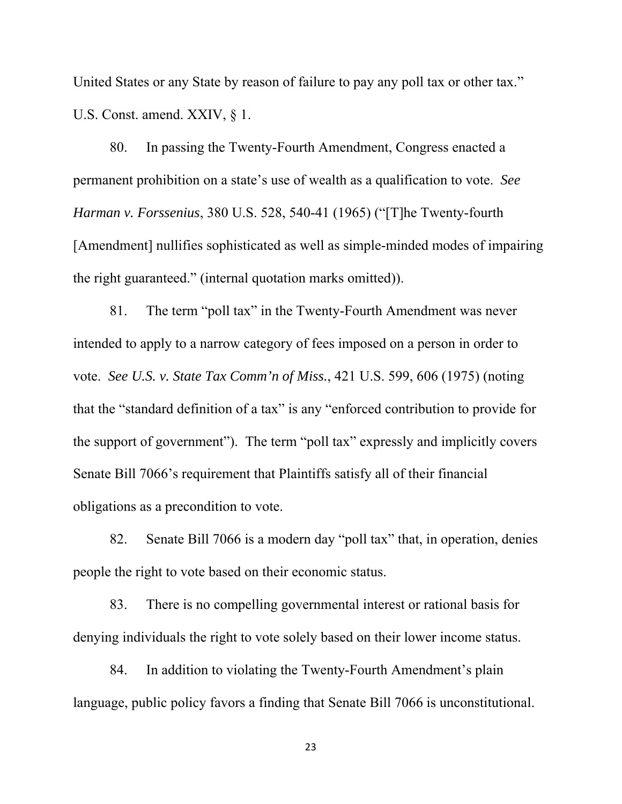United States or any State by reason of failure to pay any poll tax or other tax." U.S. Const. amend. XXIV, § 1.

 80. In passing the Twenty-Fourth Amendment, Congress enacted a permanent prohibition on a state's use of wealth as a qualification to vote. *See Harman v. Forssenius*, 380 U.S. 528, 540-41 (1965) ("[T]he Twenty-fourth [Amendment] nullifies sophisticated as well as simple-minded modes of impairing the right guaranteed." (internal quotation marks omitted)).

 81. The term "poll tax" in the Twenty-Fourth Amendment was never intended to apply to a narrow category of fees imposed on a person in order to vote. *See U.S. v. State Tax Comm'n of Miss.*, 421 U.S. 599, 606 (1975) (noting that the "standard definition of a tax" is any "enforced contribution to provide for the support of government"). The term "poll tax" expressly and implicitly covers Senate Bill 7066's requirement that Plaintiffs satisfy all of their financial obligations as a precondition to vote.

 82. Senate Bill 7066 is a modern day "poll tax" that, in operation, denies people the right to vote based on their economic status.

 83. There is no compelling governmental interest or rational basis for denying individuals the right to vote solely based on their lower income status.

 84. In addition to violating the Twenty-Fourth Amendment's plain language, public policy favors a finding that Senate Bill 7066 is unconstitutional.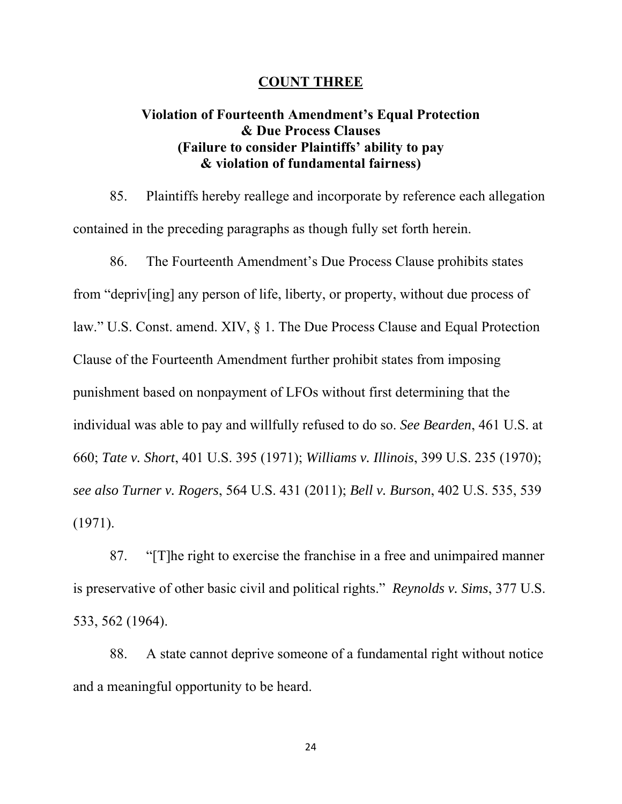### **COUNT THREE**

# **Violation of Fourteenth Amendment's Equal Protection & Due Process Clauses (Failure to consider Plaintiffs' ability to pay & violation of fundamental fairness)**

 85. Plaintiffs hereby reallege and incorporate by reference each allegation contained in the preceding paragraphs as though fully set forth herein.

 86. The Fourteenth Amendment's Due Process Clause prohibits states from "depriv[ing] any person of life, liberty, or property, without due process of law." U.S. Const. amend. XIV, § 1. The Due Process Clause and Equal Protection Clause of the Fourteenth Amendment further prohibit states from imposing punishment based on nonpayment of LFOs without first determining that the individual was able to pay and willfully refused to do so. *See Bearden*, 461 U.S. at 660; *Tate v. Short*, 401 U.S. 395 (1971); *Williams v. Illinois*, 399 U.S. 235 (1970); *see also Turner v. Rogers*, 564 U.S. 431 (2011); *Bell v. Burson*, 402 U.S. 535, 539 (1971).

 87. "[T]he right to exercise the franchise in a free and unimpaired manner is preservative of other basic civil and political rights." *Reynolds v. Sims*, 377 U.S. 533, 562 (1964).

 88. A state cannot deprive someone of a fundamental right without notice and a meaningful opportunity to be heard.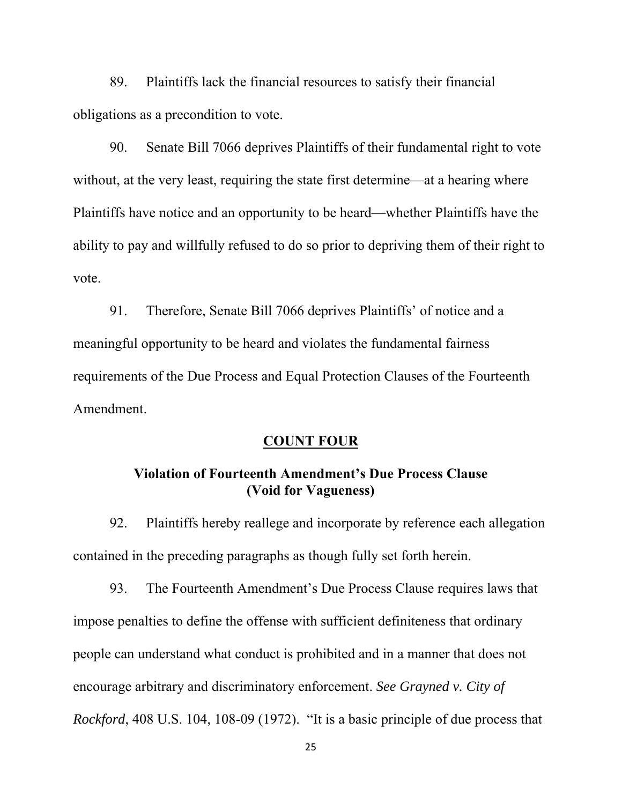89. Plaintiffs lack the financial resources to satisfy their financial obligations as a precondition to vote.

 90. Senate Bill 7066 deprives Plaintiffs of their fundamental right to vote without, at the very least, requiring the state first determine—at a hearing where Plaintiffs have notice and an opportunity to be heard—whether Plaintiffs have the ability to pay and willfully refused to do so prior to depriving them of their right to vote.

 91. Therefore, Senate Bill 7066 deprives Plaintiffs' of notice and a meaningful opportunity to be heard and violates the fundamental fairness requirements of the Due Process and Equal Protection Clauses of the Fourteenth Amendment.

### **COUNT FOUR**

# **Violation of Fourteenth Amendment's Due Process Clause (Void for Vagueness)**

 92. Plaintiffs hereby reallege and incorporate by reference each allegation contained in the preceding paragraphs as though fully set forth herein.

 93. The Fourteenth Amendment's Due Process Clause requires laws that impose penalties to define the offense with sufficient definiteness that ordinary people can understand what conduct is prohibited and in a manner that does not encourage arbitrary and discriminatory enforcement. *See Grayned v. City of Rockford*, 408 U.S. 104, 108-09 (1972). "It is a basic principle of due process that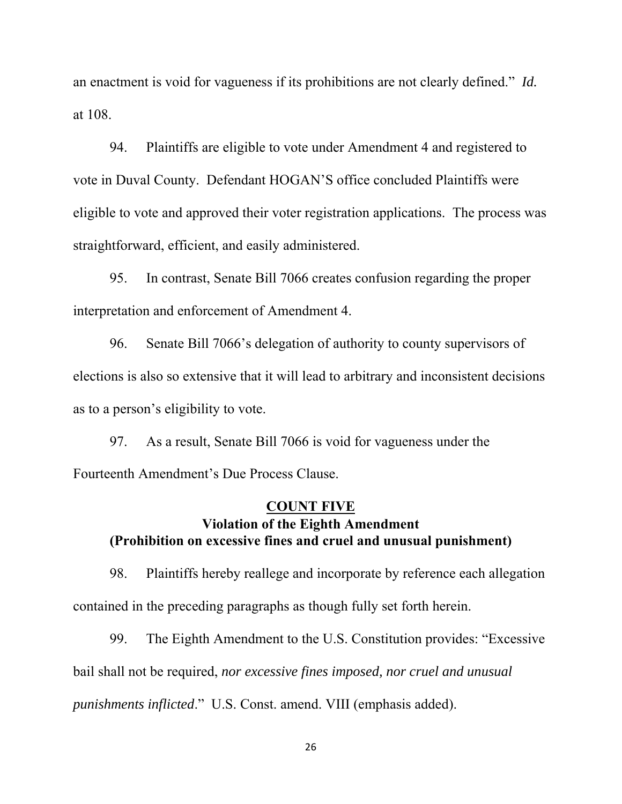an enactment is void for vagueness if its prohibitions are not clearly defined." *Id.* at 108.

 94. Plaintiffs are eligible to vote under Amendment 4 and registered to vote in Duval County. Defendant HOGAN'S office concluded Plaintiffs were eligible to vote and approved their voter registration applications. The process was straightforward, efficient, and easily administered.

 95. In contrast, Senate Bill 7066 creates confusion regarding the proper interpretation and enforcement of Amendment 4.

 96. Senate Bill 7066's delegation of authority to county supervisors of elections is also so extensive that it will lead to arbitrary and inconsistent decisions as to a person's eligibility to vote.

 97. As a result, Senate Bill 7066 is void for vagueness under the Fourteenth Amendment's Due Process Clause.

# **COUNT FIVE Violation of the Eighth Amendment (Prohibition on excessive fines and cruel and unusual punishment)**

 98. Plaintiffs hereby reallege and incorporate by reference each allegation contained in the preceding paragraphs as though fully set forth herein.

 99. The Eighth Amendment to the U.S. Constitution provides: "Excessive bail shall not be required, *nor excessive fines imposed, nor cruel and unusual punishments inflicted*." U.S. Const. amend. VIII (emphasis added).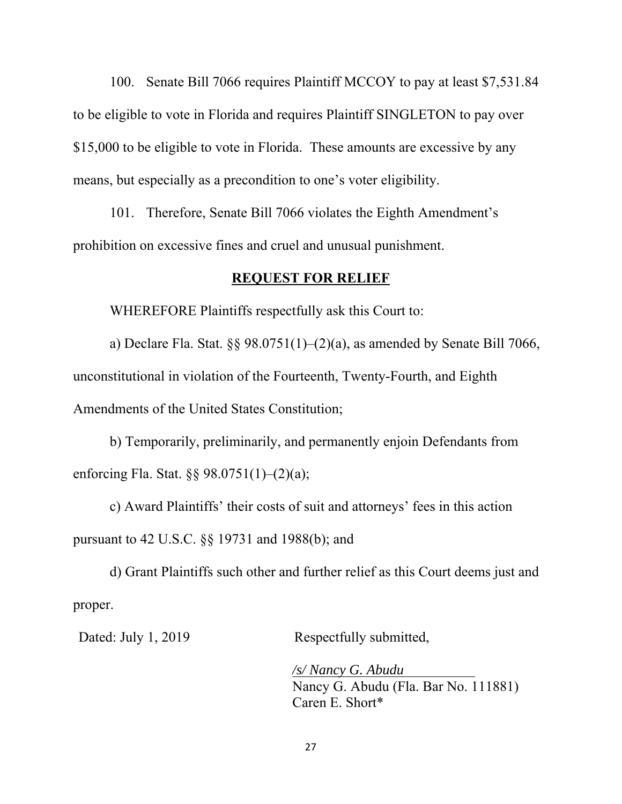100. Senate Bill 7066 requires Plaintiff MCCOY to pay at least \$7,531.84 to be eligible to vote in Florida and requires Plaintiff SINGLETON to pay over \$15,000 to be eligible to vote in Florida. These amounts are excessive by any means, but especially as a precondition to one's voter eligibility.

 101. Therefore, Senate Bill 7066 violates the Eighth Amendment's prohibition on excessive fines and cruel and unusual punishment.

### **REQUEST FOR RELIEF**

WHEREFORE Plaintiffs respectfully ask this Court to:

a) Declare Fla. Stat.  $\S$ § 98.0751(1)–(2)(a), as amended by Senate Bill 7066, unconstitutional in violation of the Fourteenth, Twenty-Fourth, and Eighth Amendments of the United States Constitution;

 b) Temporarily, preliminarily, and permanently enjoin Defendants from enforcing Fla. Stat. §§ 98.0751(1)–(2)(a);

 c) Award Plaintiffs' their costs of suit and attorneys' fees in this action pursuant to 42 U.S.C. §§ 19731 and 1988(b); and

 d) Grant Plaintiffs such other and further relief as this Court deems just and proper.

Dated: July 1, 2019 Respectfully submitted,

*/s/ Nancy G. Abudu*  Nancy G. Abudu (Fla. Bar No. 111881) Caren E. Short\*